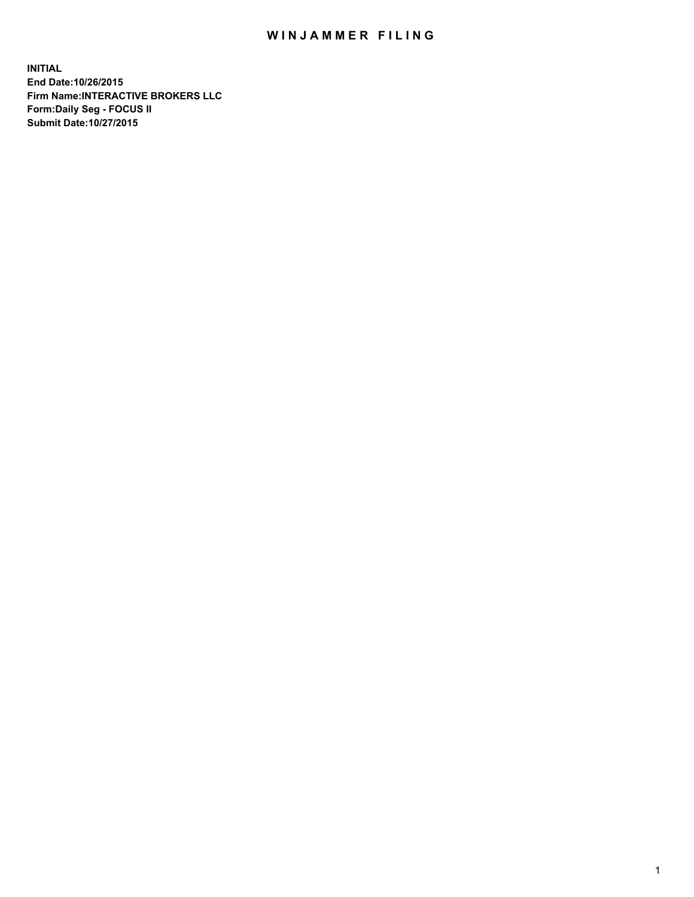## WIN JAMMER FILING

**INITIAL End Date:10/26/2015 Firm Name:INTERACTIVE BROKERS LLC Form:Daily Seg - FOCUS II Submit Date:10/27/2015**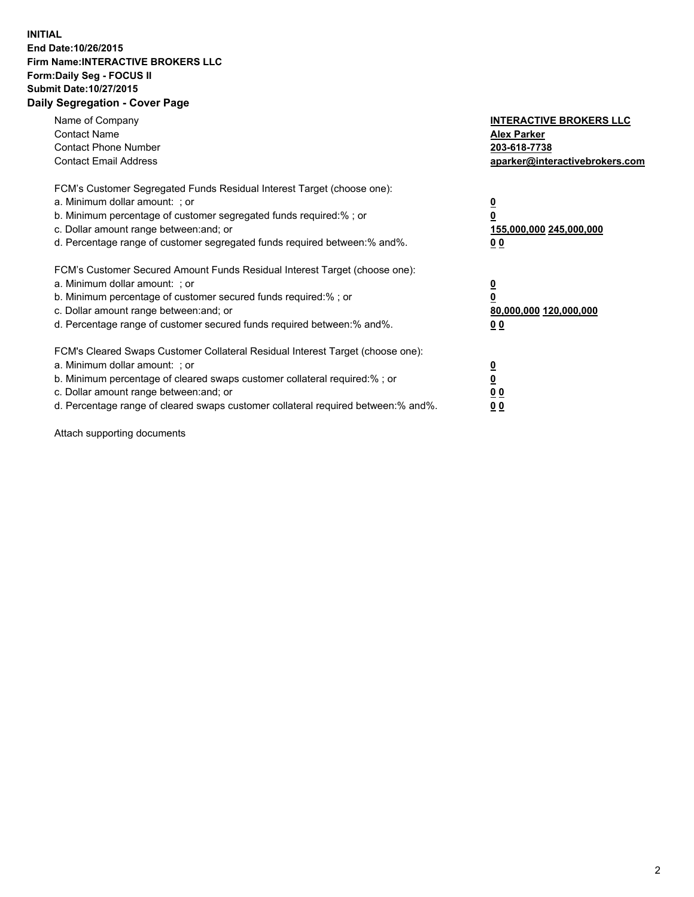## **INITIAL End Date:10/26/2015 Firm Name:INTERACTIVE BROKERS LLC Form:Daily Seg - FOCUS II Submit Date:10/27/2015 Daily Segregation - Cover Page**

| Name of Company<br><b>Contact Name</b><br><b>Contact Phone Number</b><br><b>Contact Email Address</b>                                                                                                                                                                                                                         | <b>INTERACTIVE BROKERS LLC</b><br><b>Alex Parker</b><br>203-618-7738<br>aparker@interactivebrokers.com |
|-------------------------------------------------------------------------------------------------------------------------------------------------------------------------------------------------------------------------------------------------------------------------------------------------------------------------------|--------------------------------------------------------------------------------------------------------|
| FCM's Customer Segregated Funds Residual Interest Target (choose one):<br>a. Minimum dollar amount: ; or<br>b. Minimum percentage of customer segregated funds required:% ; or<br>c. Dollar amount range between: and; or<br>d. Percentage range of customer segregated funds required between:% and%.                        | <u>0</u><br><u>155,000,000 245,000,000</u><br>00                                                       |
| FCM's Customer Secured Amount Funds Residual Interest Target (choose one):<br>a. Minimum dollar amount: ; or<br>b. Minimum percentage of customer secured funds required:% ; or<br>c. Dollar amount range between: and; or<br>d. Percentage range of customer secured funds required between: % and %.                        | $\overline{\mathbf{0}}$<br>80,000,000 120,000,000<br>00                                                |
| FCM's Cleared Swaps Customer Collateral Residual Interest Target (choose one):<br>a. Minimum dollar amount: ; or<br>b. Minimum percentage of cleared swaps customer collateral required:%; or<br>c. Dollar amount range between: and; or<br>d. Percentage range of cleared swaps customer collateral required between:% and%. | <u>0</u><br>0 <sub>0</sub><br><u>00</u>                                                                |

Attach supporting documents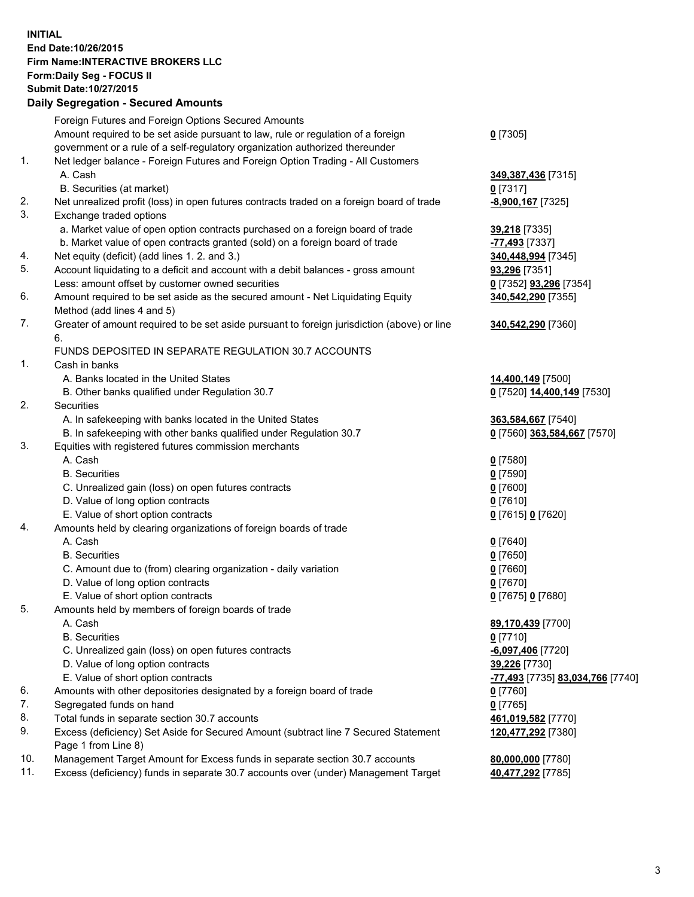## **INITIAL End Date:10/26/2015 Firm Name:INTERACTIVE BROKERS LLC Form:Daily Seg - FOCUS II Submit Date:10/27/2015 Daily Segregation - Secured Amounts**

|     | Dany Segregation - Secured Announts                                                                        |                                  |
|-----|------------------------------------------------------------------------------------------------------------|----------------------------------|
|     | Foreign Futures and Foreign Options Secured Amounts                                                        |                                  |
|     | Amount required to be set aside pursuant to law, rule or regulation of a foreign                           | $0$ [7305]                       |
|     | government or a rule of a self-regulatory organization authorized thereunder                               |                                  |
| 1.  | Net ledger balance - Foreign Futures and Foreign Option Trading - All Customers                            |                                  |
|     | A. Cash                                                                                                    | 349, 387, 436 [7315]             |
|     | B. Securities (at market)                                                                                  | $0$ [7317]                       |
| 2.  | Net unrealized profit (loss) in open futures contracts traded on a foreign board of trade                  | $-8,900,167$ [7325]              |
| 3.  | Exchange traded options                                                                                    |                                  |
|     | a. Market value of open option contracts purchased on a foreign board of trade                             | 39,218 [7335]                    |
|     | b. Market value of open contracts granted (sold) on a foreign board of trade                               | -77,493 [7337]                   |
| 4.  | Net equity (deficit) (add lines 1.2. and 3.)                                                               | 340,448,994 [7345]               |
| 5.  | Account liquidating to a deficit and account with a debit balances - gross amount                          | 93,296 [7351]                    |
|     | Less: amount offset by customer owned securities                                                           | 0 [7352] 93,296 [7354]           |
| 6.  | Amount required to be set aside as the secured amount - Net Liquidating Equity                             | 340,542,290 [7355]               |
|     | Method (add lines 4 and 5)                                                                                 |                                  |
| 7.  | Greater of amount required to be set aside pursuant to foreign jurisdiction (above) or line                | 340,542,290 [7360]               |
|     | 6.                                                                                                         |                                  |
|     | FUNDS DEPOSITED IN SEPARATE REGULATION 30.7 ACCOUNTS                                                       |                                  |
| 1.  | Cash in banks                                                                                              |                                  |
|     | A. Banks located in the United States                                                                      | 14,400,149 [7500]                |
|     | B. Other banks qualified under Regulation 30.7                                                             | 0 [7520] 14,400,149 [7530]       |
| 2.  | Securities                                                                                                 |                                  |
|     | A. In safekeeping with banks located in the United States                                                  | 363,584,667 [7540]               |
|     | B. In safekeeping with other banks qualified under Regulation 30.7                                         | 0 [7560] 363,584,667 [7570]      |
| 3.  | Equities with registered futures commission merchants                                                      |                                  |
|     | A. Cash                                                                                                    | $0$ [7580]                       |
|     | <b>B.</b> Securities                                                                                       | $0$ [7590]                       |
|     | C. Unrealized gain (loss) on open futures contracts                                                        | $0$ [7600]                       |
|     | D. Value of long option contracts                                                                          | $0$ [7610]                       |
|     | E. Value of short option contracts                                                                         | 0 [7615] 0 [7620]                |
| 4.  | Amounts held by clearing organizations of foreign boards of trade                                          |                                  |
|     | A. Cash                                                                                                    | $0$ [7640]                       |
|     | <b>B.</b> Securities                                                                                       | $0$ [7650]                       |
|     | C. Amount due to (from) clearing organization - daily variation                                            | $0$ [7660]                       |
|     | D. Value of long option contracts                                                                          | $0$ [7670]                       |
|     | E. Value of short option contracts                                                                         | 0 [7675] 0 [7680]                |
| 5   | Amounts held by members of foreign boards of trade                                                         |                                  |
|     | A. Cash                                                                                                    | 89,170,439 [7700]                |
|     | <b>B.</b> Securities                                                                                       | $0$ [7710]                       |
|     | C. Unrealized gain (loss) on open futures contracts                                                        | $-6,097,406$ [7720]              |
|     | D. Value of long option contracts                                                                          | 39,226 [7730]                    |
|     | E. Value of short option contracts                                                                         | -77,493 [7735] 83,034,766 [7740] |
| 6.  | Amounts with other depositories designated by a foreign board of trade                                     | 0 [7760]                         |
| 7.  | Segregated funds on hand                                                                                   | $0$ [7765]                       |
| 8.  | Total funds in separate section 30.7 accounts                                                              | 461,019,582 [7770]               |
| 9.  | Excess (deficiency) Set Aside for Secured Amount (subtract line 7 Secured Statement<br>Page 1 from Line 8) | 120,477,292 [7380]               |
| 10. | Management Target Amount for Excess funds in separate section 30.7 accounts                                | 80,000,000 [7780]                |
| 11. | Excess (deficiency) funds in separate 30.7 accounts over (under) Management Target                         | 40,477,292 [7785]                |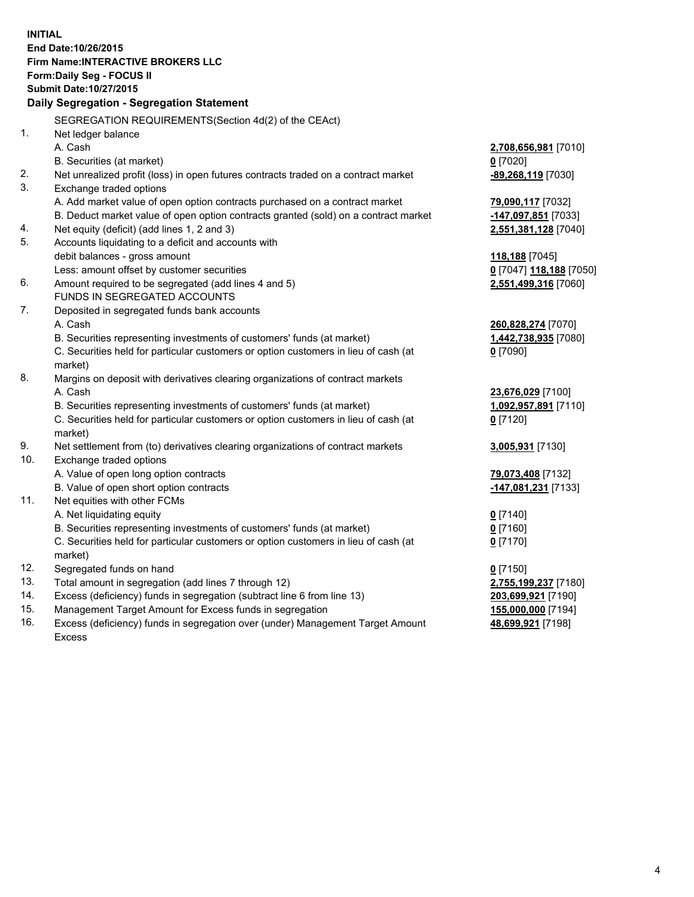**INITIAL End Date:10/26/2015 Firm Name:INTERACTIVE BROKERS LLC Form:Daily Seg - FOCUS II Submit Date:10/27/2015 Daily Segregation - Segregation Statement** SEGREGATION REQUIREMENTS(Section 4d(2) of the CEAct) 1. Net ledger balance A. Cash **2,708,656,981** [7010] B. Securities (at market) **0** [7020] 2. Net unrealized profit (loss) in open futures contracts traded on a contract market **-89,268,119** [7030] 3. Exchange traded options A. Add market value of open option contracts purchased on a contract market **79,090,117** [7032] B. Deduct market value of open option contracts granted (sold) on a contract market **-147,097,851** [7033] 4. Net equity (deficit) (add lines 1, 2 and 3) **2,551,381,128** [7040] 5. Accounts liquidating to a deficit and accounts with debit balances - gross amount **118,188** [7045] Less: amount offset by customer securities **0** [7047] **118,188** [7050] 6. Amount required to be segregated (add lines 4 and 5) **2,551,499,316** [7060] FUNDS IN SEGREGATED ACCOUNTS 7. Deposited in segregated funds bank accounts A. Cash **260,828,274** [7070] B. Securities representing investments of customers' funds (at market) **1,442,738,935** [7080] C. Securities held for particular customers or option customers in lieu of cash (at market) **0** [7090] 8. Margins on deposit with derivatives clearing organizations of contract markets A. Cash **23,676,029** [7100] B. Securities representing investments of customers' funds (at market) **1,092,957,891** [7110] C. Securities held for particular customers or option customers in lieu of cash (at market) **0** [7120] 9. Net settlement from (to) derivatives clearing organizations of contract markets **3,005,931** [7130] 10. Exchange traded options A. Value of open long option contracts **79,073,408** [7132] B. Value of open short option contracts **-147,081,231** [7133] 11. Net equities with other FCMs A. Net liquidating equity **0** [7140] B. Securities representing investments of customers' funds (at market) **0** [7160] C. Securities held for particular customers or option customers in lieu of cash (at market) **0** [7170] 12. Segregated funds on hand **0** [7150] 13. Total amount in segregation (add lines 7 through 12) **2,755,199,237** [7180] 14. Excess (deficiency) funds in segregation (subtract line 6 from line 13) **203,699,921** [7190] 15. Management Target Amount for Excess funds in segregation **155,000,000** [7194]

16. Excess (deficiency) funds in segregation over (under) Management Target Amount Excess

**48,699,921** [7198]